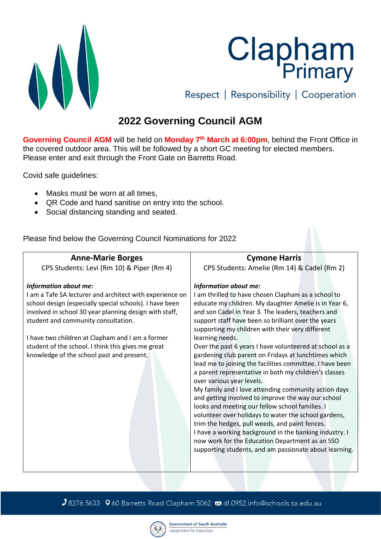

**Clapham**<br>Primary Respect | Responsibility | Cooperation

## **2022 Governing Council AGM**

**Governing Council AGM** will be held on **Monday 7th March at 6:00pm**, behind the Front Office in the covered outdoor area. This will be followed by a short GC meeting for elected members. Please enter and exit through the Front Gate on Barretts Road.

Covid safe guidelines:

- Masks must be worn at all times.
- QR Code and hand sanitise on entry into the school.
- Social distancing standing and seated.

Please find below the Governing Council Nominations for 2022

**Anne-Marie Borges** CPS Students: Levi (Rm 10) & Piper (Rm 4) *Information about me:* I am a Tafe SA lecturer and architect with experience on school design (especially special schools). I have been involved in school 30 year planning design with staff, student and community consultation. I have two children at Clapham and I am a former student of the school. I think this gives me great knowledge of the school past and present. **Cymone Harris** CPS Students: Amelie (Rm 14) & Cadel (Rm 2) *Information about me:* I am thrilled to have chosen Clapham as a school to educate my children. My daughter Amelie is in Year 6, and son Cadel in Year 3. The leaders, teachers and support staff have been so brilliant over the years supporting my children with their very different learning needs. Over the past 6 years I have volunteered at school as a gardening club parent on Fridays at lunchtimes which lead me to joining the facilities committee. I have been a parent representative in both my children's classes over various year levels. My family and I love attending community action days and getting involved to improve the way our school looks and meeting our fellow school families. I volunteer over holidays to water the school gardens, trim the hedges, pull weeds, and paint fences. I have a working background in the banking industry. I now work for the Education Department as an SSO supporting students, and am passionate about learning.

J8276 5633 960 Barretts Road Clapham 5062 ≥dl.0952.info@schools.sa.edu.au